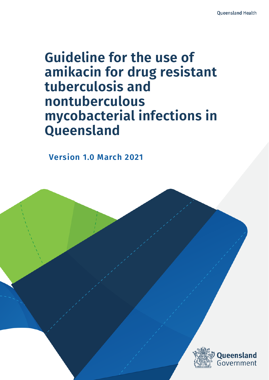# **Guideline for the use of amikacin for drug resistant tuberculosis and nontuberculous mycobacterial infections in Queensland**

<span id="page-0-0"></span>**Version 1.0 March 2021**

 $G$ use of amikacin for the use of amikacin for drug resistant tuberculosis and tuberculosis and tuberculosis and  $\mathcal{A}$ nontuberculous mycobacterial infections in Queensland - Version 1.0 March

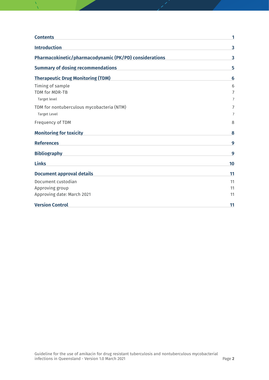| <b>Contents</b>                                        | 1                       |
|--------------------------------------------------------|-------------------------|
| <b>Introduction</b>                                    | $\overline{\mathbf{3}}$ |
| Pharmacokinetic/pharmacodynamic (PK/PD) considerations | 3                       |
| <b>Summary of dosing recommendations</b>               | 5                       |
| <b>Therapeutic Drug Monitoring (TDM)</b>               | $6\phantom{1}6$         |
| Timing of sample                                       | 6                       |
| TDM for MDR-TB                                         | $\overline{7}$          |
| Target level                                           | $\overline{7}$          |
| TDM for nontuberculous mycobacteria (NTM)              | $\overline{7}$          |
| <b>Target Level</b>                                    | 7                       |
| Frequency of TDM                                       | 8                       |
| <b>Monitoring for toxicity</b>                         | 8                       |
| <b>References</b>                                      | 9                       |
| <b>Bibliography</b>                                    | 9                       |
| <b>Links</b>                                           | 10                      |
| <b>Document approval details</b>                       | 11                      |
| Document custodian                                     | 11                      |
| Approving group                                        | 11                      |
| Approving date: March 2021                             | 11                      |
| <b>Version Control</b>                                 | 11                      |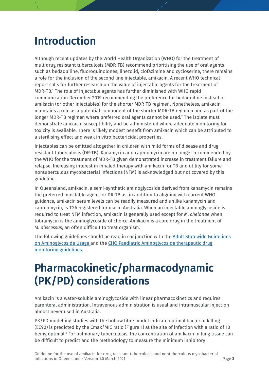### <span id="page-2-0"></span>**Introduction**

Although recent updates by the World Health Organization (WHO) for the treatment of multidrug resistant tuberculosis (MDR-TB) recommend prioritising the use of oral agents such as bedaquiline, fluoroquinolones, linezolid, clofazimine and cycloserine, there remains a role for the inclusion of the second line injectable, amikacin. A recent WHO technical report calls for further research on the value of injectable agents for the treatment of MDR-TB. <sup>1</sup> The role of injectable agents has further diminished with WHO rapid communication December 2019 recommending the preference for bedaquiline instead of amikacin (or other injectables) for the shorter MDR-TB regimen. Nonetheless, amikacin maintains a role as a potential component of the shorter MDR-TB regimen and as part of the longer MDR-TB regimen where preferred oral agents cannot be used.<sup>2</sup> The isolate must demonstrate amikacin susceptibility and be administered where adequate monitoring for toxicity is available. There is likely modest benefit from amikacin which can be attributed to a sterilising effect and weak in vitro bactericidal properties.

Injectables can be omitted altogether in children with mild forms of disease and drug resistant tuberculosis (DR-TB). Kanamycin and capreomycin are no longer recommended by the WHO for the treatment of MDR-TB given demonstrated increase in treatment failure and relapse. Increasing interest in inhaled therapy with amikacin for TB and utility for some nontuberculous mycobacterial infections (NTM) is acknowledged but not covered by this guideline.

In Queensland, amikacin, a semi-synthetic aminoglycoside derived from kanamycin remains the preferred injectable agent for DR-TB as, in addition to aligning with current WHO guidance, amikacin serum levels can be readily measured and unlike kanamycin and capreomycin, is TGA registered for use in Australia. When an injectable aminoglycoside is required to treat NTM infection, amikacin is generally used except for *M. chelonae* when tobramycin is the aminoglycoside of choice. Amikacin is a core drug in the treatment of *M. abscessus*, an often difficult to treat organism.

The following guidelines should be read in conjunction with the [Adult Statewide Guidelines](https://www.health.qld.gov.au/__data/assets/pdf_file/0019/713323/aminoglycoside-guidelines.pdf)  [on Aminoglycoside Usage a](https://www.health.qld.gov.au/__data/assets/pdf_file/0019/713323/aminoglycoside-guidelines.pdf)nd the [CHQ Paediatric Aminoglycoside therapeutic drug](https://www.childrens.health.qld.gov.au/wp-content/uploads/PDF/ams/paed-tobramycin-gentamicin-therapeutic-drug-monitoring.pdf)  [monitoring guidelines.](https://www.childrens.health.qld.gov.au/wp-content/uploads/PDF/ams/paed-tobramycin-gentamicin-therapeutic-drug-monitoring.pdf)

### <span id="page-2-1"></span>**Pharmacokinetic/pharmacodynamic (PK/PD) considerations**

Amikacin is a water-soluble aminoglycoside with linear pharmacokinetics and requires parenteral administration. Intravenous administration is usual and intramuscular injection almost never used in Australia.

PK/PD modelling studies with the hollow fibre model indicate optimal bacterial killing (EC90) is predicted by the Cmax/MIC ratio (Figure 1) at the site of infection with a ratio of 10 being optimal.3 For pulmonary tuberculosis, the concentration of amikacin in lung tissue can be difficult to predict and the methodology to measure the minimum inhibitory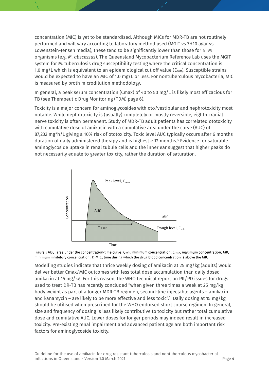concentration (MIC) is yet to be standardised. Although MICs for MDR-TB are not routinely performed and will vary according to laboratory method used (MGIT vs 7H10 agar vs Lowenstein-Jensen media), these tend to be significantly lower than those for NTM organisms (e.g. *M. abscessus*). The Queensland Mycobacterium Reference Lab uses the MGIT system for M. tuberculosis drug susceptibility testing where the critical concentration is 1.0 mg/L which is equivalent to an epidemiological cut off value ( $E_{\text{coff}}$ ). Susceptible strains would be expected to have an MIC of 1.0 mg/L or less. For nontuberculous mycobacteria, MIC is measured by broth microdilution methodology.

In general, a peak serum concentration (Cmax) of 40 to 50 mg/L is likely most efficacious for TB (see Therapeutic Drug Monitoring (TDM) page 6).

Toxicity is a major concern for aminoglycosides with oto/vestibular and nephrotoxicity most notable. While nephrotoxicity is (usually) completely or mostly reversible, eighth cranial nerve toxicity is often permanent. Study of MDR-TB adult patients has correlated ototoxicity with cumulative dose of amikacin with a cumulative area under the curve (AUC) of 87,232 mg\*h/L giving a 10% risk of ototoxicity. Toxic level AUC typically occurs after 6 months duration of daily administered therapy and is highest  $\geq 12$  months.<sup>4</sup> Evidence for saturable aminoglycoside uptake in renal tubule cells and the inner ear suggest that higher peaks do not necessarily equate to greater toxicity, rather the duration of saturation.





Modelling studies indicate that thrice weekly dosing of amikacin at 25 mg/kg (adults) would deliver better Cmax/MIC outcomes with less total dose accumulation than daily dosed amikacin at 15 mg/kg. For this reason, the WHO technical report on PK/PD issues for drugs used to treat DR-TB has recently concluded "when given three times a week at 25 mg/kg body weight as part of a longer MDR-TB regimen, second-line injectable agents – amikacin and kanamycin – are likely to be more effective and less toxic".1 Daily dosing at 15 mg/kg should be utilised when prescribed for the WHO endorsed short course regimen. In general, size and frequency of dosing is less likely contributive to toxicity but rather total cumulative dose and cumulative AUC. Lower doses for longer periods may indeed result in increased toxicity. Pre-existing renal impairment and advanced patient age are both important risk factors for aminoglycoside toxicity.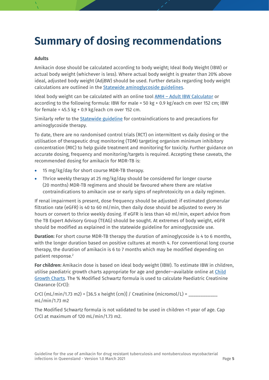### <span id="page-4-0"></span>**Summary of dosing recommendations**

#### **Adults**

Amikacin dose should be calculated according to body weight; Ideal Body Weight (IBW) or actual body weight (whichever is less). Where actual body weight is greater than 20% above ideal, adjusted body weight (AdjBW) should be used. Further details regarding body weight calculations are outlined in the **Statewide aminoglycoside guidelines**.

Ideal body weight can be calculated with an online tool AMH – [Adult IBW Calculator](https://amhonline.amh.net.au/calculators/adultidealweight?menu=banner) or according to the following formula: IBW for male = 50 kg + 0.9 kg/each cm over 152 cm; IBW for female =  $45.5$  kg + 0.9 kg/each cm over 152 cm.

Similarly refer to the [Statewide guideline](https://www.health.qld.gov.au/__data/assets/pdf_file/0019/713323/aminoglycoside-guidelines.pdf) for contraindications to and precautions for aminoglycoside therapy.

To date, there are no randomised control trials (RCT) on intermittent vs daily dosing or the utilisation of therapeutic drug monitoring (TDM) targeting organism minimum inhibitory concentration (MIC) to help guide treatment and monitoring for toxicity. Further guidance on accurate dosing, frequency and monitoring/targets is required. Accepting these caveats, the recommended dosing for amikacin for MDR-TB is:

- 15 mg/kg/day for short course MDR-TB therapy.
- Thrice weekly therapy at 25 mg/kg/day should be considered for longer course (20 months) MDR-TB regimens and should be favoured where there are relative contraindications to amikacin use or early signs of nephrotoxicity on a daily regimen.

If renal impairment is present, dose frequency should be adjusted: if estimated glomerular filtration rate (eGFR) is 40 to 60 ml/min, then daily dose should be adjusted to every 36 hours or convert to thrice weekly dosing. If eGFR is less than 40 ml/min, expert advice from the TB Expert Advisory Group (TEAG) should be sought. At extremes of body weight, eGFR should be modified as explained in the statewide guideline for aminoglycoside use.

**Duration:** For short course MDR-TB therapy the duration of aminoglycoside is 4 to 6 months, with the longer duration based on positive cultures at month 4. For conventional long course therapy, the duration of amikacin is 6 to 7 months which may be modified depending on patient response.2

**For children:** Amikacin dose is based on ideal body weight (IBW). To estimate IBW in children, utilise paediatric growth charts appropriate for age and gender—available online at [Child](https://www.rch.org.au/childgrowth/Growth_Charts/)  [Growth Charts.](https://www.rch.org.au/childgrowth/Growth_Charts/) The % Modified Schwartz formula is used to calculate Paediatric Creatinine Clearance (CrCl):

CrCl (mL/min/1.73 m2) =  $[36.5 \times \text{height (cm)}]$  / Creatinine (micromol/L) = mL/min/1.73 m2

The Modified Schwartz formula is not validated to be used in children <1 year of age. Cap CrCl at maximum of 120 mL/min/1.73 m2.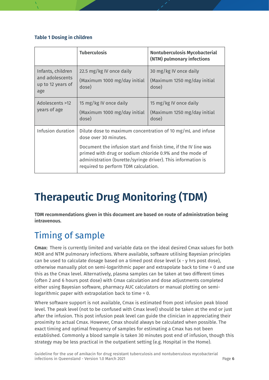#### **Table 1 Dosing in children**

|                                                                  | <b>Tuberculosis</b>                                                                                                                                                                                                                                                                                                         | <b>Nontuberculosis Mycobacterial</b><br>(NTM) pulmonary infections |
|------------------------------------------------------------------|-----------------------------------------------------------------------------------------------------------------------------------------------------------------------------------------------------------------------------------------------------------------------------------------------------------------------------|--------------------------------------------------------------------|
| Infants, children<br>and adolescents<br>up to 12 years of<br>age | 22.5 mg/kg IV once daily<br>(Maximum 1000 mg/day initial<br>dose)                                                                                                                                                                                                                                                           | 30 mg/kg IV once daily<br>(Maximum 1250 mg/day initial<br>dose)    |
| Adolescents >12<br>years of age                                  | 15 mg/kg IV once daily<br>(Maximum 1000 mg/day initial<br>dose)                                                                                                                                                                                                                                                             | 15 mg/kg IV once daily<br>(Maximum 1250 mg/day initial<br>dose)    |
| Infusion duration                                                | Dilute dose to maximum concentration of 10 mg/mL and infuse<br>dose over 30 minutes.<br>Document the infusion start and finish time, if the IV line was<br>primed with drug or sodium chloride 0.9% and the mode of<br>administration (burette/syringe driver). This information is<br>required to perform TDM calculation. |                                                                    |

## <span id="page-5-0"></span>**Therapeutic Drug Monitoring (TDM)**

**TDM recommendations given in this document are based on route of administration being intravenous.**

### <span id="page-5-1"></span>Timing of sample

**Cmax:** There is currently limited and variable data on the ideal desired Cmax values for both MDR and NTM pulmonary infections. Where available, software utilising Bayesian principles can be used to calculate dosage based on a timed post dose level  $(x - y)$  hrs post dose), otherwise manually plot on semi-logarithmic paper and extrapolate back to time = 0 and use this as the Cmax level. Alternatively, plasma samples can be taken at two different times (often 2 and 6 hours post dose) with Cmax calculation and dose adjustments completed either using Bayesian software, pharmacy AUC calculators or manual plotting on semilogarithmic paper with extrapolation back to time = 0.

Where software support is not available, Cmax is estimated from post infusion peak blood level. The peak level (not to be confused with Cmax level) should be taken at the end or just after the infusion. This post infusion peak level can guide the clinician in appreciating their proximity to actual Cmax. However, Cmax should always be calculated when possible. The exact timing and optimal frequency of samples for estimating a Cmax has not been established. Commonly a blood sample is taken 30 minutes post end of infusion, though this strategy may be less practical in the outpatient setting (e.g. Hospital in the Home).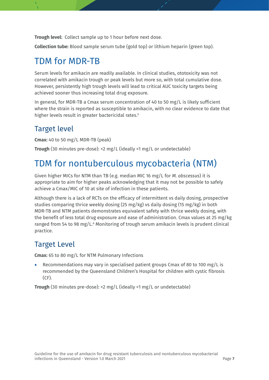**Trough level:** Collect sample up to 1 hour before next dose.

**Collection tube:** Blood sample serum tube (gold top) or lithium heparin (green top).

### <span id="page-6-0"></span>TDM for MDR-TB

Serum levels for amikacin are readily available. In clinical studies, ototoxicity was not correlated with amikacin trough or peak levels but more so, with total cumulative dose. However, persistently high trough levels will lead to critical AUC toxicity targets being achieved sooner thus increasing total drug exposure.

In general, for MDR-TB a Cmax serum concentration of 40 to 50 mg/L is likely sufficient where the strain is reported as susceptible to amikacin, with no clear evidence to date that higher levels result in greater bactericidal rates.<sup>5</sup>

#### <span id="page-6-1"></span>Target level

**Cmax:** 40 to 50 mg/L MDR-TB (peak)

**Trough** (30 minutes pre-dose): <2 mg/L (ideally <1 mg/L or undetectable)

### <span id="page-6-2"></span>TDM for nontuberculous mycobacteria (NTM)

Given higher MICs for NTM than TB (e.g. median MIC 16 mg/L for *M. abscessus*) it is appropriate to aim for higher peaks acknowledging that it may not be possible to safely achieve a Cmax/MIC of 10 at site of infection in these patients.

Although there is a lack of RCTs on the efficacy of intermittent vs daily dosing, prospective studies comparing thrice weekly dosing (25 mg/kg) vs daily dosing (15 mg/kg) in both MDR-TB and NTM patients demonstrates equivalent safety with thrice weekly dosing, with the benefit of less total drug exposure and ease of administration. Cmax values at 25 mg/kg ranged from 54 to 98 mg/L. $6$  Monitoring of trough serum amikacin levels is prudent clinical practice.

#### <span id="page-6-3"></span>Target Level

**Cmax:** 65 to 80 mg/L for NTM Pulmonary Infections

• Recommendations may vary in specialised patient groups Cmax of 80 to 100 mg/L is recommended by the Queensland Children's Hospital for children with cystic fibrosis (CF).

<span id="page-6-4"></span>**Trough** (30 minutes pre-dose): <2 mg/L (ideally <1 mg/L or undetectable)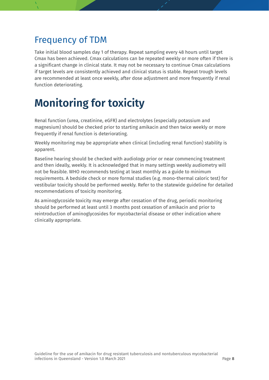### Frequency of TDM

Take initial blood samples day 1 of therapy. Repeat sampling every 48 hours until target Cmax has been achieved. Cmax calculations can be repeated weekly or more often if there is a significant change in clinical state. It may not be necessary to continue Cmax calculations if target levels are consistently achieved and clinical status is stable. Repeat trough levels are recommended at least once weekly, after dose adjustment and more frequently if renal function deteriorating.

# <span id="page-7-0"></span>**Monitoring for toxicity**

Renal function (urea, creatinine, eGFR) and electrolytes (especially potassium and magnesium) should be checked prior to starting amikacin and then twice weekly or more frequently if renal function is deteriorating.

Weekly monitoring may be appropriate when clinical (including renal function) stability is apparent.

Baseline hearing should be checked with audiology prior or near commencing treatment and then ideally, weekly. It is acknowledged that in many settings weekly audiometry will not be feasible. WHO recommends testing at least monthly as a guide to minimum requirements. A bedside check or more formal studies (e.g. mono-thermal caloric test) for vestibular toxicity should be performed weekly. Refer to the statewide guideline for detailed recommendations of toxicity monitoring.

As aminoglycoside toxicity may emerge after cessation of the drug, periodic monitoring should be performed at least until 3 months post cessation of amikacin and prior to reintroduction of aminoglycosides for mycobacterial disease or other indication where clinically appropriate.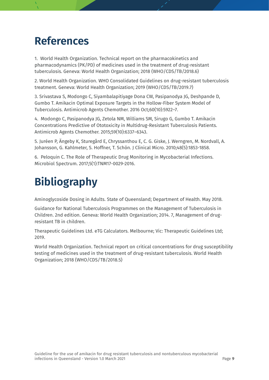### <span id="page-8-0"></span>**References**

1. World Health Organization. Technical report on the pharmacokinetics and pharmacodynamics (PK/PD) of medicines used in the treatment of drug-resistant tuberculosis. Geneva: World Health Organization; 2018 (WHO/CDS/TB/2018.6)

2. World Health Organization. WHO Consolidated Guidelines on drug-resistant tuberculosis treatment. Geneva: World Health Organization; 2019 (WHO/CDS/TB/2019.7)

3. Srivastava S, Modongo C, Siyambalapitiyage Dona CW, Pasipanodya JG, Deshpande D, Gumbo T. Amikacin Optimal Exposure Targets in the Hollow-Fiber System Model of Tuberculosis. Antimicrob Agents Chemother. 2016 Oct;60(10):5922–7.

4. Modongo C, Pasipanodya JG, Zetola NM, Williams SM, Sirugo G, Gumbo T. Amikacin Concentrations Predictive of Ototoxicity in Multidrug-Resistant Tuberculosis Patients. Antimicrob Agents Chemother. 2015;59(10):6337–6343.

5. Juréen P, Ängeby K, Sturegård E, Chryssanthou E, C. G. Giske, J. Werngren, M. Nordvall, A. Johansson, G. Kahlmeter, S. Hoffner, T. Schön. J Clinical Micro. 2010;48(5):1853-1858.

6. Peloquin C. The Role of Therapeutic Drug Monitoring in Mycobacterial Infections. Microbiol Spectrum. 2017;5(1):TNM17-0029-2016.

## <span id="page-8-1"></span>**Bibliography**

Aminoglycoside Dosing in Adults. State of Queensland; Department of Health. May 2018.

Guidance for National Tuberculosis Programmes on the Management of Tuberculosis in Children. 2nd edition. Geneva: World Health Organization; 2014. 7, Management of drugresistant TB in children.

Therapeutic Guidelines Ltd. eTG Calculators. Melbourne; Vic: Therapeutic Guidelines Ltd; 2019.

World Health Organization. Technical report on critical concentrations for drug susceptibility testing of medicines used in the treatment of drug-resistant tuberculosis. World Health Organization; 2018 (WHO/CDS/TB/2018.5)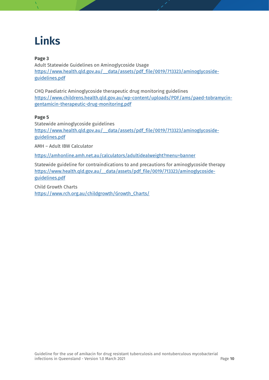## <span id="page-9-0"></span>**Links**

#### **Page 3**

Adult Statewide Guidelines on Aminoglycoside Usage [https://www.health.qld.gov.au/\\_\\_data/assets/pdf\\_file/0019/713323/aminoglycoside](https://www.health.qld.gov.au/__data/assets/pdf_file/0019/713323/aminoglycoside-guidelines.pdf)[guidelines.pdf](https://www.health.qld.gov.au/__data/assets/pdf_file/0019/713323/aminoglycoside-guidelines.pdf)

CHQ Paediatric Aminoglycoside therapeutic drug monitoring guidelines [https://www.childrens.health.qld.gov.au/wp-content/uploads/PDF/ams/paed-tobramycin](https://www.childrens.health.qld.gov.au/wp-content/uploads/PDF/ams/paed-tobramycin-gentamicin-therapeutic-drug-monitoring.pdf)[gentamicin-therapeutic-drug-monitoring.pdf](https://www.childrens.health.qld.gov.au/wp-content/uploads/PDF/ams/paed-tobramycin-gentamicin-therapeutic-drug-monitoring.pdf)

#### **Page 5**

Statewide aminoglycoside guidelines https://www.health.qld.gov.au/ data/assets/pdf\_file/0019/713323/aminoglycoside[guidelines.pdf](https://www.health.qld.gov.au/__data/assets/pdf_file/0019/713323/aminoglycoside-guidelines.pdf)

AMH – Adult IBW Calculator

<https://amhonline.amh.net.au/calculators/adultidealweight?menu=banner>

Statewide guideline for contraindications to and precautions for aminoglycoside therapy https://www.health.qld.gov.au/\_data/assets/pdf\_file/0019/713323/aminoglycoside[guidelines.pdf](https://www.health.qld.gov.au/__data/assets/pdf_file/0019/713323/aminoglycoside-guidelines.pdf)

Child Growth Charts [https://www.rch.org.au/childgrowth/Growth\\_Charts/](https://www.rch.org.au/childgrowth/Growth_Charts/)